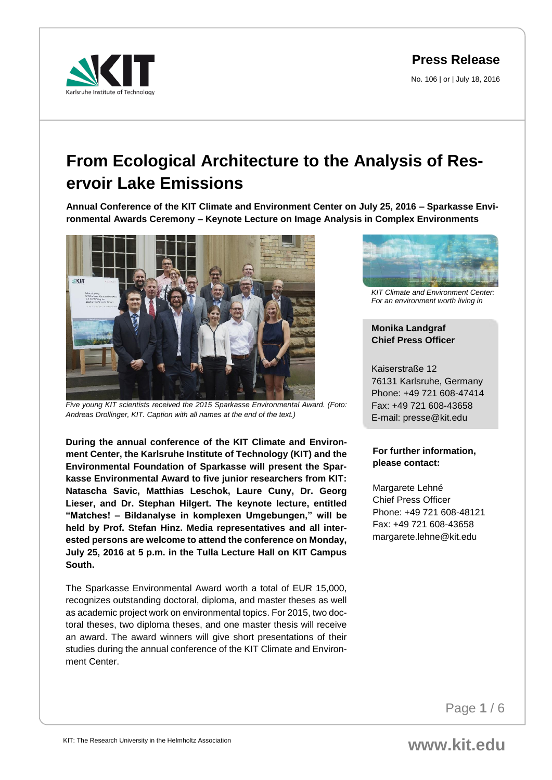No. 106 | or | July 18, 2016



# **From Ecological Architecture to the Analysis of Reservoir Lake Emissions**

**Annual Conference of the KIT Climate and Environment Center on July 25, 2016 – Sparkasse Environmental Awards Ceremony – Keynote Lecture on Image Analysis in Complex Environments** 



*Five young KIT scientists received the 2015 Sparkasse Environmental Award. (Foto: Andreas Drollinger, KIT. Caption with all names at the end of the text.)*

**During the annual conference of the KIT Climate and Environment Center, the Karlsruhe Institute of Technology (KIT) and the Environmental Foundation of Sparkasse will present the Sparkasse Environmental Award to five junior researchers from KIT: Natascha Savic, Matthias Leschok, Laure Cuny, Dr. Georg Lieser, and Dr. Stephan Hilgert. The keynote lecture, entitled "Matches! – Bildanalyse in komplexen Umgebungen," will be held by Prof. Stefan Hinz. Media representatives and all interested persons are welcome to attend the conference on Monday, July 25, 2016 at 5 p.m. in the Tulla Lecture Hall on KIT Campus South.** 

The Sparkasse Environmental Award worth a total of EUR 15,000, recognizes outstanding doctoral, diploma, and master theses as well as academic project work on environmental topics. For 2015, two doctoral theses, two diploma theses, and one master thesis will receive an award. The award winners will give short presentations of their studies during the annual conference of the KIT Climate and Environment Center.



*KIT Climate and Environment Center: For an environment worth living in*

# **Monika Landgraf Chief Press Officer**

Kaiserstraße 12 76131 Karlsruhe, Germany Phone: +49 721 608-47414 Fax: +49 721 608-43658 E-mail: presse@kit.edu

# **For further information, please contact:**

Margarete Lehné Chief Press Officer Phone: +49 721 608-48121 Fax: +49 721 608-43658 margarete.lehne@kit.edu

Page **1** / 6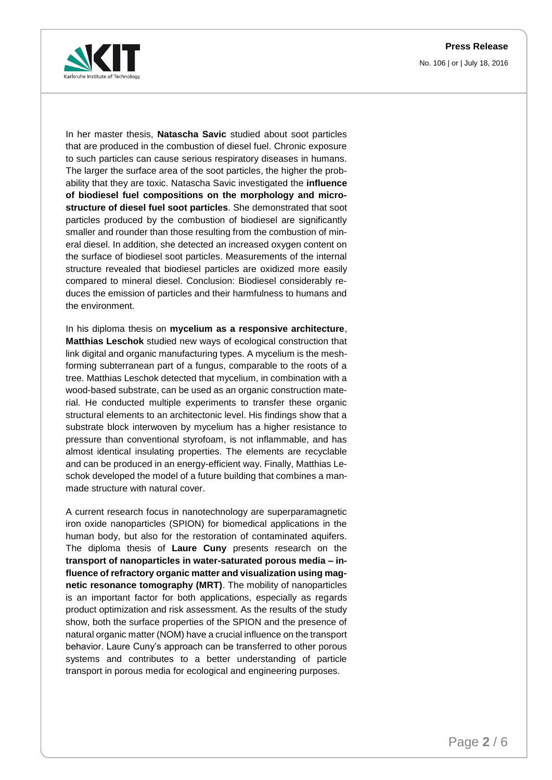



In her master thesis, **Natascha Savic** studied about soot particles that are produced in the combustion of diesel fuel. Chronic exposure to such particles can cause serious respiratory diseases in humans. The larger the surface area of the soot particles, the higher the probability that they are toxic. Natascha Savic investigated the **influence of biodiesel fuel compositions on the morphology and microstructure of diesel fuel soot particles**. She demonstrated that soot particles produced by the combustion of biodiesel are significantly smaller and rounder than those resulting from the combustion of mineral diesel. In addition, she detected an increased oxygen content on the surface of biodiesel soot particles. Measurements of the internal structure revealed that biodiesel particles are oxidized more easily compared to mineral diesel. Conclusion: Biodiesel considerably reduces the emission of particles and their harmfulness to humans and the environment.

In his diploma thesis on **mycelium as a responsive architecture**, **Matthias Leschok** studied new ways of ecological construction that link digital and organic manufacturing types. A mycelium is the meshforming subterranean part of a fungus, comparable to the roots of a tree. Matthias Leschok detected that mycelium, in combination with a wood-based substrate, can be used as an organic construction material. He conducted multiple experiments to transfer these organic structural elements to an architectonic level. His findings show that a substrate block interwoven by mycelium has a higher resistance to pressure than conventional styrofoam, is not inflammable, and has almost identical insulating properties. The elements are recyclable and can be produced in an energy-efficient way. Finally, Matthias Leschok developed the model of a future building that combines a manmade structure with natural cover.

A current research focus in nanotechnology are superparamagnetic iron oxide nanoparticles (SPION) for biomedical applications in the human body, but also for the restoration of contaminated aquifers. The diploma thesis of **Laure Cuny** presents research on the **transport of nanoparticles in water-saturated porous media – influence of refractory organic matter and visualization using magnetic resonance tomography (MRT)**. The mobility of nanoparticles is an important factor for both applications, especially as regards product optimization and risk assessment. As the results of the study show, both the surface properties of the SPION and the presence of natural organic matter (NOM) have a crucial influence on the transport behavior. Laure Cuny's approach can be transferred to other porous systems and contributes to a better understanding of particle transport in porous media for ecological and engineering purposes.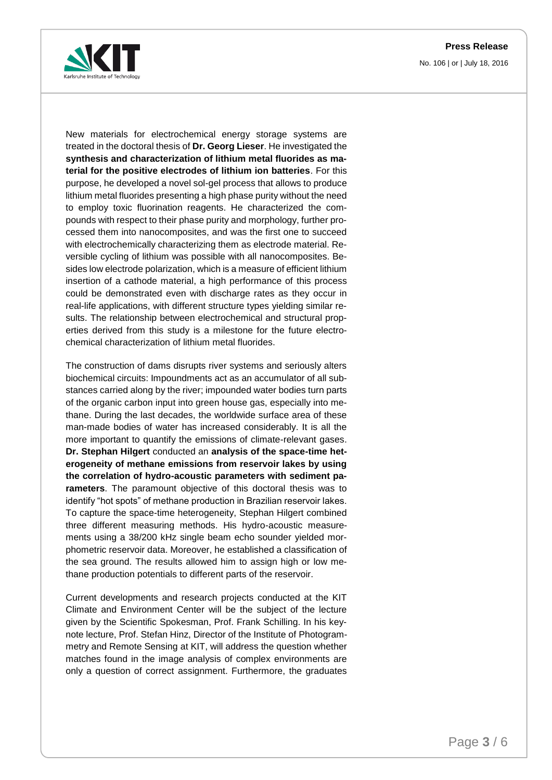

No. 106 | or | July 18, 2016

New materials for electrochemical energy storage systems are treated in the doctoral thesis of **Dr. Georg Lieser**. He investigated the **synthesis and characterization of lithium metal fluorides as material for the positive electrodes of lithium ion batteries**. For this purpose, he developed a novel sol-gel process that allows to produce lithium metal fluorides presenting a high phase purity without the need to employ toxic fluorination reagents. He characterized the compounds with respect to their phase purity and morphology, further processed them into nanocomposites, and was the first one to succeed with electrochemically characterizing them as electrode material. Reversible cycling of lithium was possible with all nanocomposites. Besides low electrode polarization, which is a measure of efficient lithium insertion of a cathode material, a high performance of this process could be demonstrated even with discharge rates as they occur in real-life applications, with different structure types yielding similar results. The relationship between electrochemical and structural properties derived from this study is a milestone for the future electrochemical characterization of lithium metal fluorides.

The construction of dams disrupts river systems and seriously alters biochemical circuits: Impoundments act as an accumulator of all substances carried along by the river; impounded water bodies turn parts of the organic carbon input into green house gas, especially into methane. During the last decades, the worldwide surface area of these man-made bodies of water has increased considerably. It is all the more important to quantify the emissions of climate-relevant gases. **Dr. Stephan Hilgert** conducted an **analysis of the space-time heterogeneity of methane emissions from reservoir lakes by using the correlation of hydro-acoustic parameters with sediment parameters**. The paramount objective of this doctoral thesis was to identify "hot spots" of methane production in Brazilian reservoir lakes. To capture the space-time heterogeneity, Stephan Hilgert combined three different measuring methods. His hydro-acoustic measurements using a 38/200 kHz single beam echo sounder yielded morphometric reservoir data. Moreover, he established a classification of the sea ground. The results allowed him to assign high or low methane production potentials to different parts of the reservoir.

Current developments and research projects conducted at the KIT Climate and Environment Center will be the subject of the lecture given by the Scientific Spokesman, Prof. Frank Schilling. In his keynote lecture, Prof. Stefan Hinz, Director of the Institute of Photogrammetry and Remote Sensing at KIT, will address the question whether matches found in the image analysis of complex environments are only a question of correct assignment. Furthermore, the graduates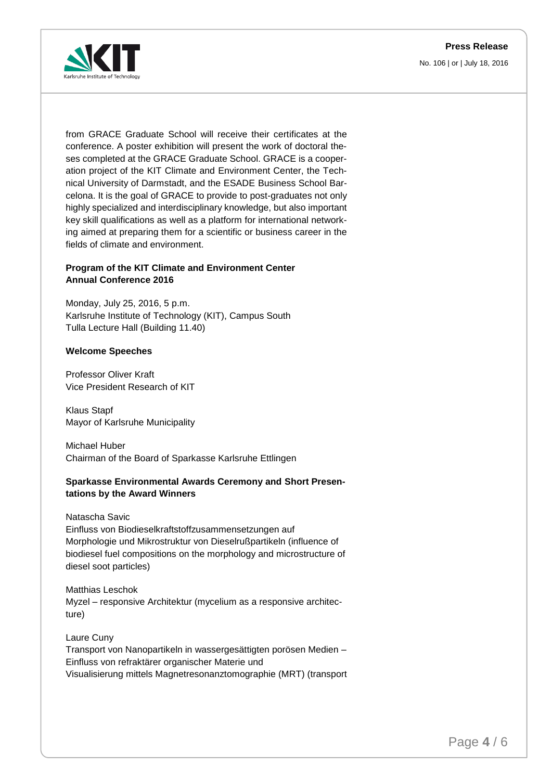No. 106 | or | July 18, 2016



from GRACE Graduate School will receive their certificates at the conference. A poster exhibition will present the work of doctoral theses completed at the GRACE Graduate School. GRACE is a cooperation project of the KIT Climate and Environment Center, the Technical University of Darmstadt, and the ESADE Business School Barcelona. It is the goal of GRACE to provide to post-graduates not only highly specialized and interdisciplinary knowledge, but also important key skill qualifications as well as a platform for international networking aimed at preparing them for a scientific or business career in the fields of climate and environment.

# **Program of the KIT Climate and Environment Center Annual Conference 2016**

Monday, July 25, 2016, 5 p.m. Karlsruhe Institute of Technology (KIT), Campus South Tulla Lecture Hall (Building 11.40)

#### **Welcome Speeches**

Professor Oliver Kraft Vice President Research of KIT

Klaus Stapf Mayor of Karlsruhe Municipality

Michael Huber Chairman of the Board of Sparkasse Karlsruhe Ettlingen

#### **Sparkasse Environmental Awards Ceremony and Short Presentations by the Award Winners**

Natascha Savic

Einfluss von Biodieselkraftstoffzusammensetzungen auf Morphologie und Mikrostruktur von Dieselrußpartikeln (influence of biodiesel fuel compositions on the morphology and microstructure of diesel soot particles)

Matthias Leschok Myzel – responsive Architektur (mycelium as a responsive architecture)

Laure Cuny Transport von Nanopartikeln in wassergesättigten porösen Medien – Einfluss von refraktärer organischer Materie und Visualisierung mittels Magnetresonanztomographie (MRT) (transport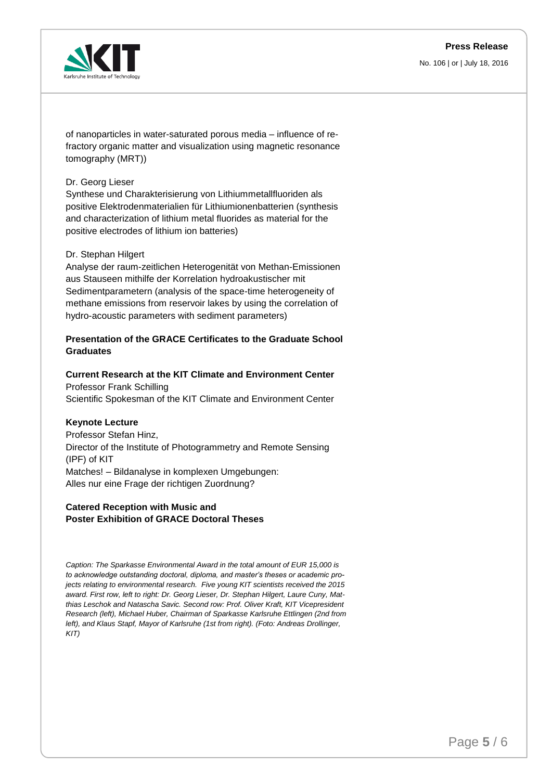No. 106 | or | July 18, 2016



of nanoparticles in water-saturated porous media – influence of refractory organic matter and visualization using magnetic resonance tomography (MRT))

#### Dr. Georg Lieser

Synthese und Charakterisierung von Lithiummetallfluoriden als positive Elektrodenmaterialien für Lithiumionenbatterien (synthesis and characterization of lithium metal fluorides as material for the positive electrodes of lithium ion batteries)

#### Dr. Stephan Hilgert

Analyse der raum-zeitlichen Heterogenität von Methan-Emissionen aus Stauseen mithilfe der Korrelation hydroakustischer mit Sedimentparametern (analysis of the space-time heterogeneity of methane emissions from reservoir lakes by using the correlation of hydro-acoustic parameters with sediment parameters)

# **Presentation of the GRACE Certificates to the Graduate School Graduates**

# **Current Research at the KIT Climate and Environment Center**

Professor Frank Schilling Scientific Spokesman of the KIT Climate and Environment Center

#### **Keynote Lecture**

Professor Stefan Hinz, Director of the Institute of Photogrammetry and Remote Sensing (IPF) of KIT Matches! – Bildanalyse in komplexen Umgebungen: Alles nur eine Frage der richtigen Zuordnung?

#### **Catered Reception with Music and Poster Exhibition of GRACE Doctoral Theses**

*Caption: The Sparkasse Environmental Award in the total amount of EUR 15,000 is to acknowledge outstanding doctoral, diploma, and master's theses or academic projects relating to environmental research. Five young KIT scientists received the 2015 award. First row, left to right: Dr. Georg Lieser, Dr. Stephan Hilgert, Laure Cuny, Matthias Leschok and Natascha Savic. Second row: Prof. Oliver Kraft, KIT Vicepresident Research (left), Michael Huber, Chairman of Sparkasse Karlsruhe Ettlingen (2nd from left), and Klaus Stapf, Mayor of Karlsruhe (1st from right). (Foto: Andreas Drollinger, KIT)*